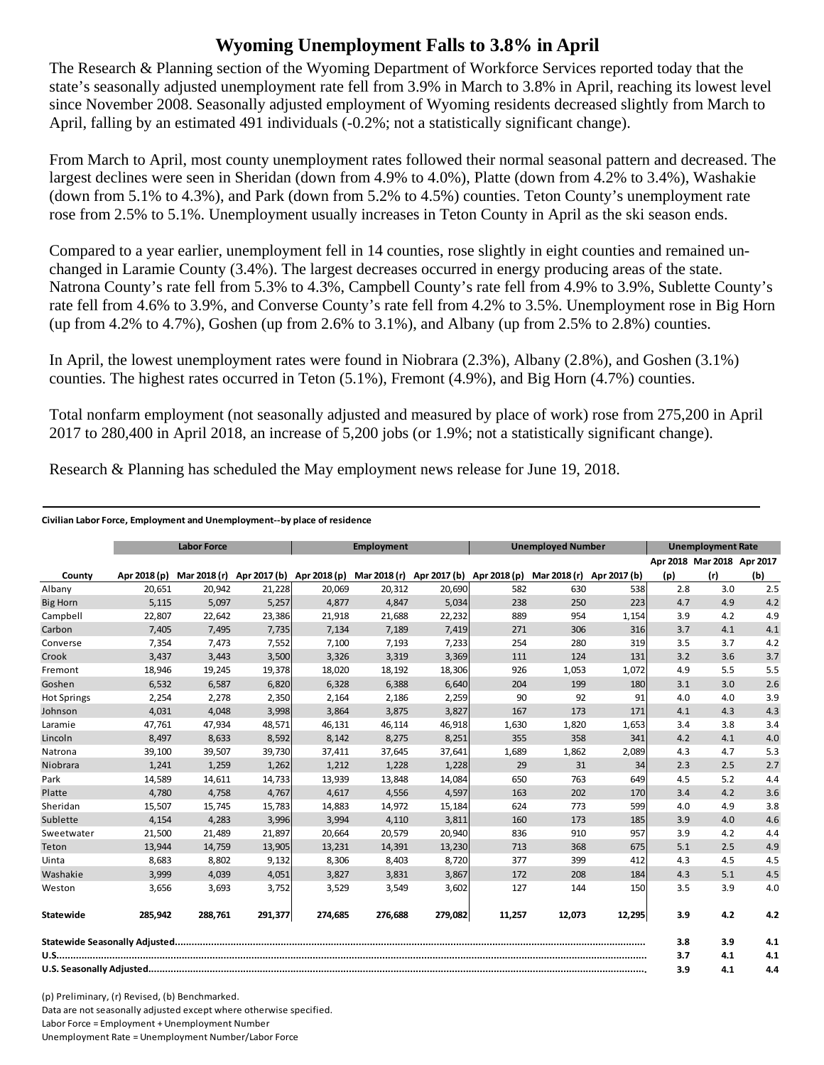## **Wyoming Unemployment Falls to 3.8% in April**

The Research & Planning section of the Wyoming Department of Workforce Services reported today that the state's seasonally adjusted unemployment rate fell from 3.9% in March to 3.8% in April, reaching its lowest level since November 2008. Seasonally adjusted employment of Wyoming residents decreased slightly from March to April, falling by an estimated 491 individuals (-0.2%; not a statistically significant change).

From March to April, most county unemployment rates followed their normal seasonal pattern and decreased. The largest declines were seen in Sheridan (down from 4.9% to 4.0%), Platte (down from 4.2% to 3.4%), Washakie (down from 5.1% to 4.3%), and Park (down from 5.2% to 4.5%) counties. Teton County's unemployment rate rose from 2.5% to 5.1%. Unemployment usually increases in Teton County in April as the ski season ends.

Compared to a year earlier, unemployment fell in 14 counties, rose slightly in eight counties and remained unchanged in Laramie County (3.4%). The largest decreases occurred in energy producing areas of the state. Natrona County's rate fell from 5.3% to 4.3%, Campbell County's rate fell from 4.9% to 3.9%, Sublette County's rate fell from 4.6% to 3.9%, and Converse County's rate fell from 4.2% to 3.5%. Unemployment rose in Big Horn (up from  $4.2\%$  to  $4.7\%$ ), Goshen (up from  $2.6\%$  to  $3.1\%$ ), and Albany (up from  $2.5\%$  to  $2.8\%$ ) counties.

In April, the lowest unemployment rates were found in Niobrara (2.3%), Albany (2.8%), and Goshen (3.1%) counties. The highest rates occurred in Teton  $(5.1\%)$ , Fremont  $(4.9\%)$ , and Big Horn  $(4.7\%)$  counties.

Total nonfarm employment (not seasonally adjusted and measured by place of work) rose from 275,200 in April 2017 to 280,400 in April 2018, an increase of 5,200 jobs (or 1.9%; not a statistically significant change).

Research & Planning has scheduled the May employment news release for June 19, 2018.

## **Civilian Labor Force, Employment and Unemployment‐‐by place of residence**

|                    | <b>Labor Force</b> |              |         | Employment |                                                     |         | <b>Unemployed Number</b> |              |              | <b>Unemployment Rate</b> |                            |     |
|--------------------|--------------------|--------------|---------|------------|-----------------------------------------------------|---------|--------------------------|--------------|--------------|--------------------------|----------------------------|-----|
|                    |                    |              |         |            |                                                     |         |                          |              |              |                          | Apr 2018 Mar 2018 Apr 2017 |     |
| County             | Apr 2018 (p)       | Mar 2018 (r) |         |            | Apr 2017 (b) Apr 2018 (p) Mar 2018 (r) Apr 2017 (b) |         | Apr 2018 (p)             | Mar 2018 (r) | Apr 2017 (b) | (p)                      | (r)                        | (b) |
| Albany             | 20,651             | 20,942       | 21,228  | 20,069     | 20,312                                              | 20,690  | 582                      | 630          | 538          | 2.8                      | 3.0                        | 2.5 |
| <b>Big Horn</b>    | 5,115              | 5,097        | 5,257   | 4,877      | 4,847                                               | 5,034   | 238                      | 250          | 223          | 4.7                      | 4.9                        | 4.2 |
| Campbell           | 22,807             | 22,642       | 23,386  | 21,918     | 21,688                                              | 22,232  | 889                      | 954          | 1,154        | 3.9                      | 4.2                        | 4.9 |
| Carbon             | 7,405              | 7,495        | 7,735   | 7,134      | 7,189                                               | 7,419   | 271                      | 306          | 316          | 3.7                      | 4.1                        | 4.1 |
| Converse           | 7,354              | 7,473        | 7,552   | 7,100      | 7,193                                               | 7,233   | 254                      | 280          | 319          | 3.5                      | 3.7                        | 4.2 |
| Crook              | 3,437              | 3,443        | 3,500   | 3,326      | 3,319                                               | 3,369   | 111                      | 124          | 131          | 3.2                      | 3.6                        | 3.7 |
| Fremont            | 18,946             | 19,245       | 19,378  | 18,020     | 18,192                                              | 18,306  | 926                      | 1,053        | 1,072        | 4.9                      | 5.5                        | 5.5 |
| Goshen             | 6,532              | 6,587        | 6,820   | 6,328      | 6,388                                               | 6,640   | 204                      | 199          | 180          | 3.1                      | 3.0                        | 2.6 |
| <b>Hot Springs</b> | 2,254              | 2,278        | 2,350   | 2,164      | 2,186                                               | 2,259   | 90                       | 92           | 91           | 4.0                      | 4.0                        | 3.9 |
| Johnson            | 4.031              | 4.048        | 3,998   | 3,864      | 3,875                                               | 3,827   | 167                      | 173          | 171          | 4.1                      | 4.3                        | 4.3 |
| Laramie            | 47,761             | 47,934       | 48,571  | 46,131     | 46,114                                              | 46,918  | 1,630                    | 1,820        | 1,653        | 3.4                      | 3.8                        | 3.4 |
| Lincoln            | 8,497              | 8,633        | 8,592   | 8,142      | 8,275                                               | 8,251   | 355                      | 358          | 341          | 4.2                      | 4.1                        | 4.0 |
| Natrona            | 39,100             | 39,507       | 39,730  | 37,411     | 37,645                                              | 37,641  | 1,689                    | 1,862        | 2,089        | 4.3                      | 4.7                        | 5.3 |
| Niobrara           | 1,241              | 1,259        | 1,262   | 1,212      | 1,228                                               | 1,228   | 29                       | 31           | 34           | 2.3                      | 2.5                        | 2.7 |
| Park               | 14,589             | 14,611       | 14,733  | 13,939     | 13,848                                              | 14,084  | 650                      | 763          | 649          | 4.5                      | 5.2                        | 4.4 |
| Platte             | 4,780              | 4,758        | 4,767   | 4,617      | 4,556                                               | 4,597   | 163                      | 202          | 170          | 3.4                      | 4.2                        | 3.6 |
| Sheridan           | 15,507             | 15,745       | 15,783  | 14,883     | 14,972                                              | 15,184  | 624                      | 773          | 599          | 4.0                      | 4.9                        | 3.8 |
| Sublette           | 4.154              | 4,283        | 3,996   | 3.994      | 4,110                                               | 3,811   | 160                      | 173          | 185          | 3.9                      | 4.0                        | 4.6 |
| Sweetwater         | 21,500             | 21,489       | 21,897  | 20,664     | 20,579                                              | 20,940  | 836                      | 910          | 957          | 3.9                      | 4.2                        | 4.4 |
| Teton              | 13,944             | 14,759       | 13,905  | 13,231     | 14,391                                              | 13,230  | 713                      | 368          | 675          | 5.1                      | 2.5                        | 4.9 |
| Uinta              | 8,683              | 8,802        | 9,132   | 8,306      | 8,403                                               | 8,720   | 377                      | 399          | 412          | 4.3                      | 4.5                        | 4.5 |
| Washakie           | 3.999              | 4.039        | 4,051   | 3.827      | 3.831                                               | 3,867   | 172                      | 208          | 184          | 4.3                      | 5.1                        | 4.5 |
| Weston             | 3,656              | 3,693        | 3,752   | 3,529      | 3,549                                               | 3,602   | 127                      | 144          | 150          | 3.5                      | 3.9                        | 4.0 |
| Statewide          | 285,942            | 288,761      | 291,377 | 274,685    | 276,688                                             | 279,082 | 11,257                   | 12,073       | 12,295       | 3.9                      | 4.2                        | 4.2 |
|                    |                    |              |         |            |                                                     |         |                          | 3.8          | 3.9          | 4.1                      |                            |     |
|                    |                    |              |         |            |                                                     |         |                          | 3.7          | 4.1          | 4.1                      |                            |     |
|                    |                    |              |         |            |                                                     |         | 3.9                      | 4.1          | 4.4          |                          |                            |     |

(p) Preliminary, (r) Revised, (b) Benchmarked. Data are not seasonally adjusted except where otherwise specified. Labor Force = Employment + Unemployment Number Unemployment Rate = Unemployment Number/Labor Force